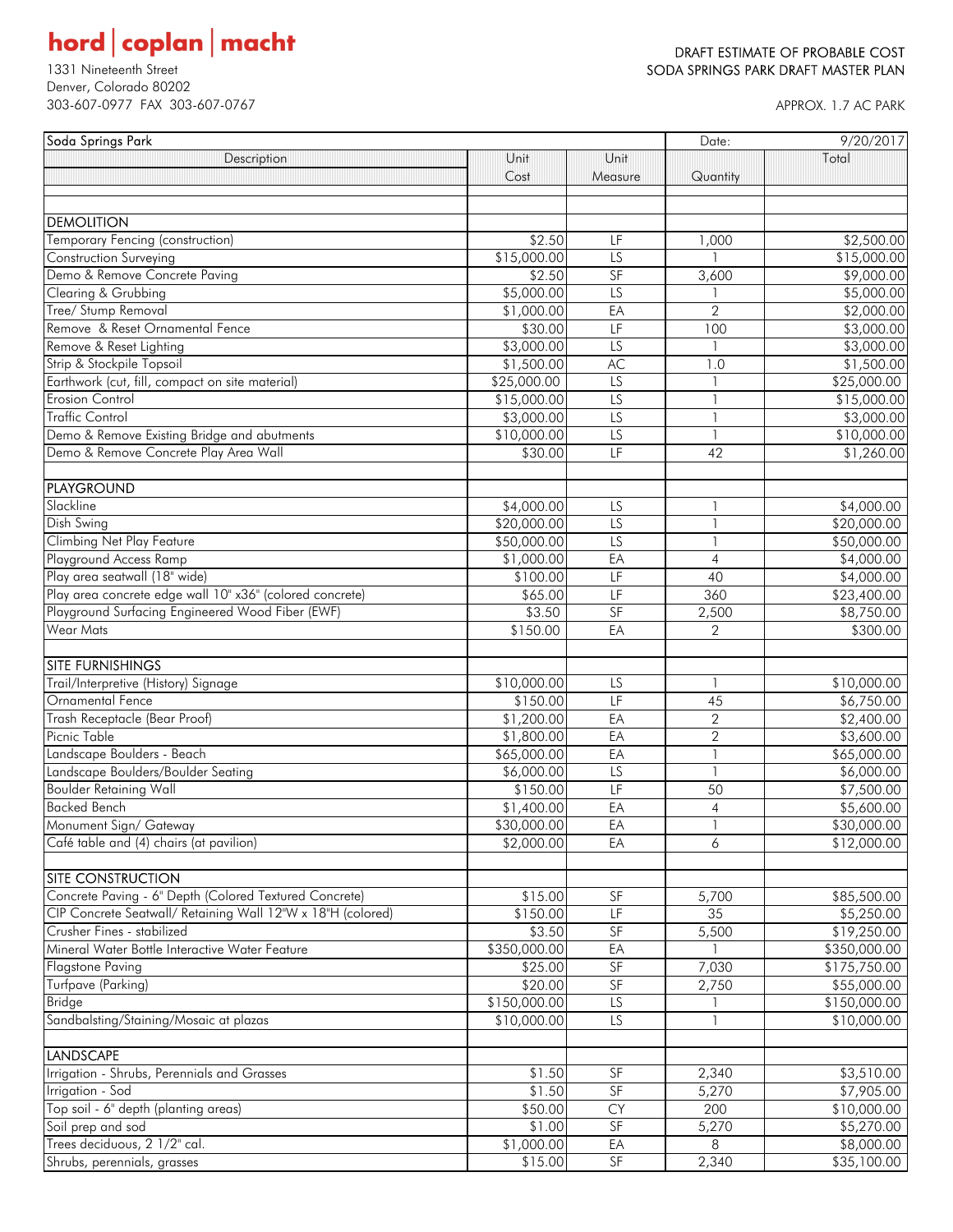# $\textbf{hord}\, \big|\, \textbf{coplan}\, \big|\, \textbf{macht}$

Denver, Colorado 80202 303-607-0977 FAX 303-607-0767 APPROX. 1.7 AC PARK

#### DRAFT ESTIMATE OF PROBABLE COST 1331 Nineteenth Street Street Street Superintent Street SODA SPRINGS PARK DRAFT MASTER PLAN

| Soda Springs Park                                                                  |              |                                   | Date:                    | 9/20/2017    |
|------------------------------------------------------------------------------------|--------------|-----------------------------------|--------------------------|--------------|
| Description                                                                        | Unit         | Unit                              |                          | Total        |
|                                                                                    | Cost         | Measure                           | Quantity                 |              |
|                                                                                    |              |                                   |                          |              |
|                                                                                    |              |                                   |                          |              |
| <b>DEMOLITION</b>                                                                  |              |                                   |                          |              |
| Temporary Fencing (construction)                                                   | \$2.50       | LF                                | 1,000                    | \$2,500.00   |
| <b>Construction Surveying</b>                                                      | \$15,000.00  | LS                                |                          | \$15,000.00  |
| Demo & Remove Concrete Paving                                                      | \$2.50       | SF                                | 3,600                    | \$9,000.00   |
| Clearing & Grubbing                                                                | \$5,000.00   | $\overline{LS}$                   |                          | \$5,000.00   |
| Tree/ Stump Removal                                                                | \$1,000.00   | EA                                | $\overline{2}$           | \$2,000.00   |
| Remove & Reset Ornamental Fence                                                    | \$30.00      | LF                                | 100                      | \$3,000.00   |
| Remove & Reset Lighting                                                            | \$3,000.00   | $\overline{LS}$                   |                          | \$3,000.00   |
| Strip & Stockpile Topsoil                                                          | \$1,500.00   | AC                                | 1.0                      | \$1,500.00   |
| Earthwork (cut, fill, compact on site material)                                    | \$25,000.00  | $\overline{LS}$                   |                          | \$25,000.00  |
| <b>Erosion Control</b>                                                             | \$15,000.00  | LS                                |                          | \$15,000.00  |
| <b>Traffic Control</b>                                                             | \$3,000.00   | LS                                | $\overline{\phantom{a}}$ | \$3,000.00   |
| Demo & Remove Existing Bridge and abutments                                        | \$10,000.00  | $\overline{LS}$                   | $\mathbf{1}$             | \$10,000.00  |
| Demo & Remove Concrete Play Area Wall                                              | \$30.00      | LF                                | 42                       | \$1,260.00   |
|                                                                                    |              |                                   |                          |              |
| PLAYGROUND                                                                         |              |                                   |                          |              |
| Slackline                                                                          | \$4,000.00   | LS                                | 1                        | \$4,000.00   |
| Dish Swing                                                                         | \$20,000.00  | $\overline{LS}$                   | $\mathbf{1}$             | \$20,000.00  |
| <b>Climbing Net Play Feature</b>                                                   | \$50,000.00  | $\overline{LS}$                   | $\mathbf{1}$             | \$50,000.00  |
| Playground Access Ramp                                                             | \$1,000.00   | EA                                | $\overline{4}$           | \$4,000.00   |
| Play area seatwall (18" wide)                                                      | \$100.00     | LF                                | 40                       | \$4,000.00   |
| Play area concrete edge wall 10" x36" (colored concrete)                           | \$65.00      | E                                 | 360                      | \$23,400.00  |
| Playground Surfacing Engineered Wood Fiber (EWF)                                   | \$3.50       | SF                                | 2,500                    | \$8,750.00   |
| <b>Wear Mats</b>                                                                   | \$150.00     | EA                                | $\mathbf{2}$             | \$300.00     |
|                                                                                    |              |                                   |                          |              |
| <b>SITE FURNISHINGS</b>                                                            |              |                                   |                          |              |
| Trail/Interpretive (History) Signage                                               | \$10,000.00  | LS                                | $\mathbf{1}$             | \$10,000.00  |
| Ornamental Fence                                                                   | \$150.00     | LF                                | 45                       | \$6,750.00   |
| Trash Receptacle (Bear Proof)                                                      | \$1,200.00   | EA                                | $\sqrt{2}$               | \$2,400.00   |
| Picnic Table                                                                       | \$1,800.00   | EA                                | $\sqrt{2}$               | \$3,600.00   |
| Landscape Boulders - Beach                                                         | \$65,000.00  | EA                                | $\mathbf{1}$             | \$65,000.00  |
| Landscape Boulders/Boulder Seating                                                 | \$6,000.00   | LS                                | $\overline{\phantom{a}}$ | \$6,000.00   |
| <b>Boulder Retaining Wall</b>                                                      | \$150.00     | LF                                | 50                       | \$7,500.00   |
| <b>Backed Bench</b>                                                                | \$1,400.00   | EA                                | $\sqrt{4}$               | \$5,600.00   |
| Monument Sign/ Gateway                                                             | \$30,000.00  | EA                                | $\mathbf{1}$             | \$30,000.00  |
| Café table and (4) chairs (at pavilion)                                            |              |                                   |                          |              |
|                                                                                    | \$2,000.00   | EA                                | 6                        | \$12,000.00  |
|                                                                                    |              |                                   |                          |              |
| <b>SITE CONSTRUCTION</b><br>Concrete Paving - 6" Depth (Colored Textured Concrete) |              |                                   |                          |              |
|                                                                                    | \$15.00      | SF                                | 5,700                    | \$85,500.00  |
| CIP Concrete Seatwall/ Retaining Wall 12"W x 18"H (colored)                        | \$150.00     | LF                                | 35                       | \$5,250.00   |
| Crusher Fines - stabilized                                                         | \$3.50       | SF                                | 5,500                    | \$19,250.00  |
| Mineral Water Bottle Interactive Water Feature                                     | \$350,000.00 | EA                                |                          | \$350,000.00 |
| <b>Flagstone Paving</b>                                                            | \$25.00      | SF                                | 7,030                    | \$175,750.00 |
| Turfpave (Parking)                                                                 | \$20.00      | SF                                | 2,750                    | \$55,000.00  |
| <b>Bridge</b>                                                                      | \$150,000.00 | $\overline{LS}$                   |                          | \$150,000.00 |
| Sandbalsting/Staining/Mosaic at plazas                                             | \$10,000.00  | $\overline{LS}$                   |                          | \$10,000.00  |
| <b>LANDSCAPE</b>                                                                   |              |                                   |                          |              |
|                                                                                    |              |                                   |                          |              |
| Irrigation - Shrubs, Perennials and Grasses                                        | \$1.50       | SF                                | 2,340                    | \$3,510.00   |
| Irrigation - Sod                                                                   | \$1.50       | SF                                | 5,270                    | \$7,905.00   |
| Top soil - 6" depth (planting areas)                                               | \$50.00      | <b>CY</b>                         | 200                      | \$10,000.00  |
| Soil prep and sod                                                                  | \$1.00       | $\ensuremath{\mathsf{SF}}\xspace$ | 5,270                    | \$5,270.00   |
| Trees deciduous, 2 1/2" cal.                                                       | \$1,000.00   | EA                                | 8                        | \$8,000.00   |
| Shrubs, perennials, grasses                                                        | \$15.00      | SF                                | 2,340                    | \$35,100.00  |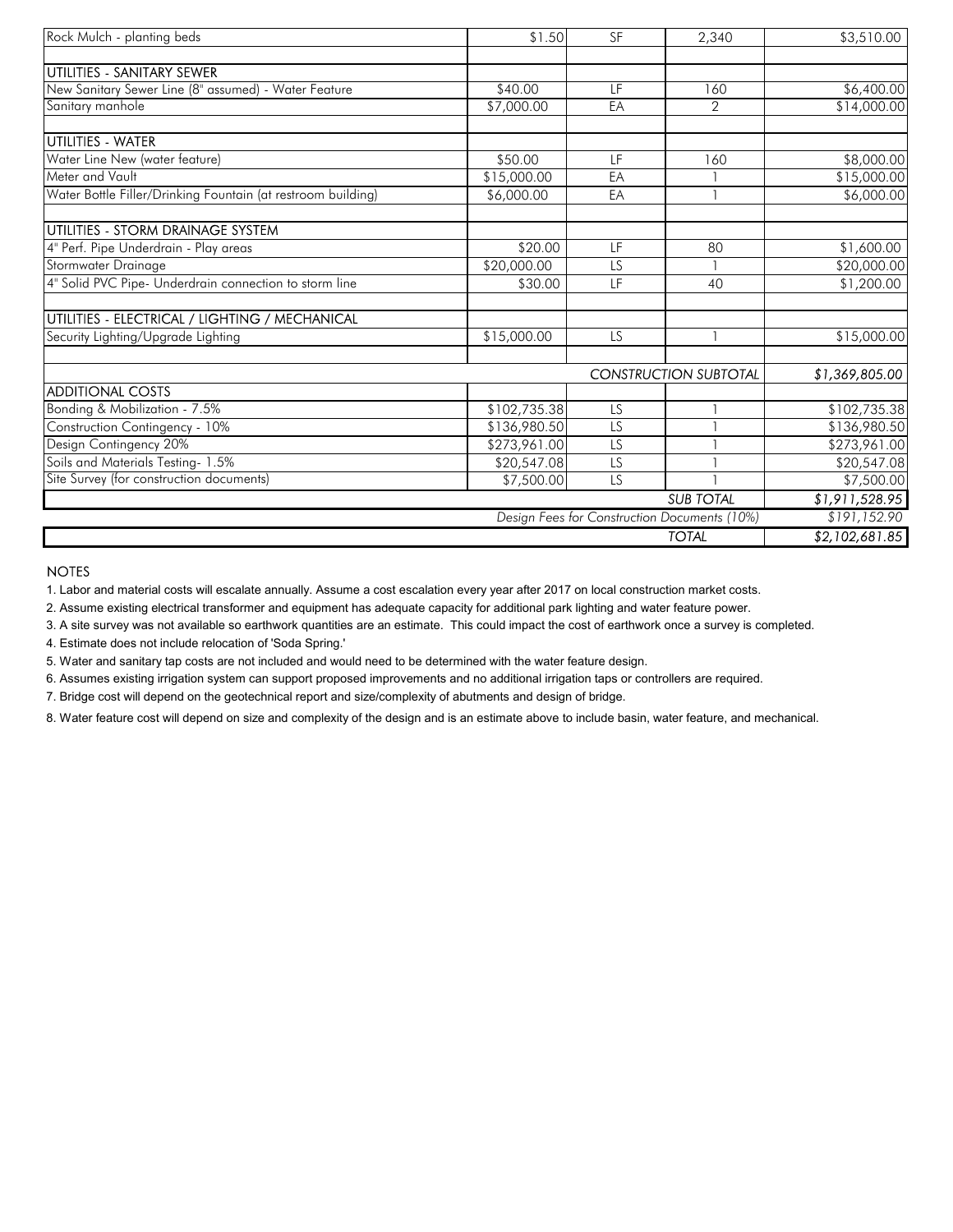| Rock Mulch - planting beds                                   | \$1.50       | <b>SF</b>       | 2,340                                        | \$3,510.00     |
|--------------------------------------------------------------|--------------|-----------------|----------------------------------------------|----------------|
| UTILITIES - SANITARY SEWER                                   |              |                 |                                              |                |
| New Sanitary Sewer Line (8" assumed) - Water Feature         | \$40.00      | LF              | 160                                          | \$6,400.00     |
| Sanitary manhole                                             | \$7,000.00   | EA              | $\mathcal{P}$                                | \$14,000.00    |
| UTILITIES - WATER                                            |              |                 |                                              |                |
| Water Line New (water feature)                               | \$50.00      | LF              | 160                                          | \$8,000.00     |
| Meter and Vault                                              | \$15,000.00  | EA              |                                              | \$15,000.00    |
| Water Bottle Filler/Drinking Fountain (at restroom building) | \$6,000.00   | EA              |                                              | \$6,000.00     |
| UTILITIES - STORM DRAINAGE SYSTEM                            |              |                 |                                              |                |
| 4" Perf. Pipe Underdrain - Play areas                        | \$20.00      | LF              | 80                                           | \$1,600.00     |
| Stormwater Drainage                                          | \$20,000.00  | LS              |                                              | \$20,000.00    |
| 4" Solid PVC Pipe- Underdrain connection to storm line       | \$30.00      | <b>IF</b>       | 40                                           | \$1,200.00     |
| UTILITIES - ELECTRICAL / LIGHTING / MECHANICAL               |              |                 |                                              |                |
| Security Lighting/Upgrade Lighting                           | \$15,000.00  | <b>LS</b>       |                                              | \$15,000.00    |
|                                                              |              |                 | <b>CONSTRUCTION SUBTOTAL</b>                 | \$1,369,805.00 |
| <b>ADDITIONAL COSTS</b>                                      |              |                 |                                              |                |
| Bonding & Mobilization - 7.5%                                | \$102,735.38 | LS              |                                              | \$102,735.38   |
| Construction Contingency - 10%                               | \$136,980.50 | $\overline{LS}$ |                                              | \$136,980.50   |
| Design Contingency 20%                                       | \$273,961.00 | $\overline{LS}$ |                                              | \$273,961.00   |
| Soils and Materials Testing- 1.5%                            | \$20,547.08  | LS              |                                              | \$20,547.08    |
| Site Survey (for construction documents)                     | \$7,500.00   | LS              |                                              | \$7,500.00     |
|                                                              |              |                 | <b>SUB TOTAL</b>                             | \$1,911,528.95 |
|                                                              |              |                 | Design Fees for Construction Documents (10%) | \$191,152.90   |
|                                                              |              |                 | <b>TOTAL</b>                                 | \$2,102,681.85 |

1. Labor and material costs will escalate annually. Assume a cost escalation every year after 2017 on local construction market costs.

2. Assume existing electrical transformer and equipment has adequate capacity for additional park lighting and water feature power.

3. A site survey was not available so earthwork quantities are an estimate. This could impact the cost of earthwork once a survey is completed.

4. Estimate does not include relocation of 'Soda Spring.'

5. Water and sanitary tap costs are not included and would need to be determined with the water feature design.

6. Assumes existing irrigation system can support proposed improvements and no additional irrigation taps or controllers are required.

7. Bridge cost will depend on the geotechnical report and size/complexity of abutments and design of bridge.

8. Water feature cost will depend on size and complexity of the design and is an estimate above to include basin, water feature, and mechanical.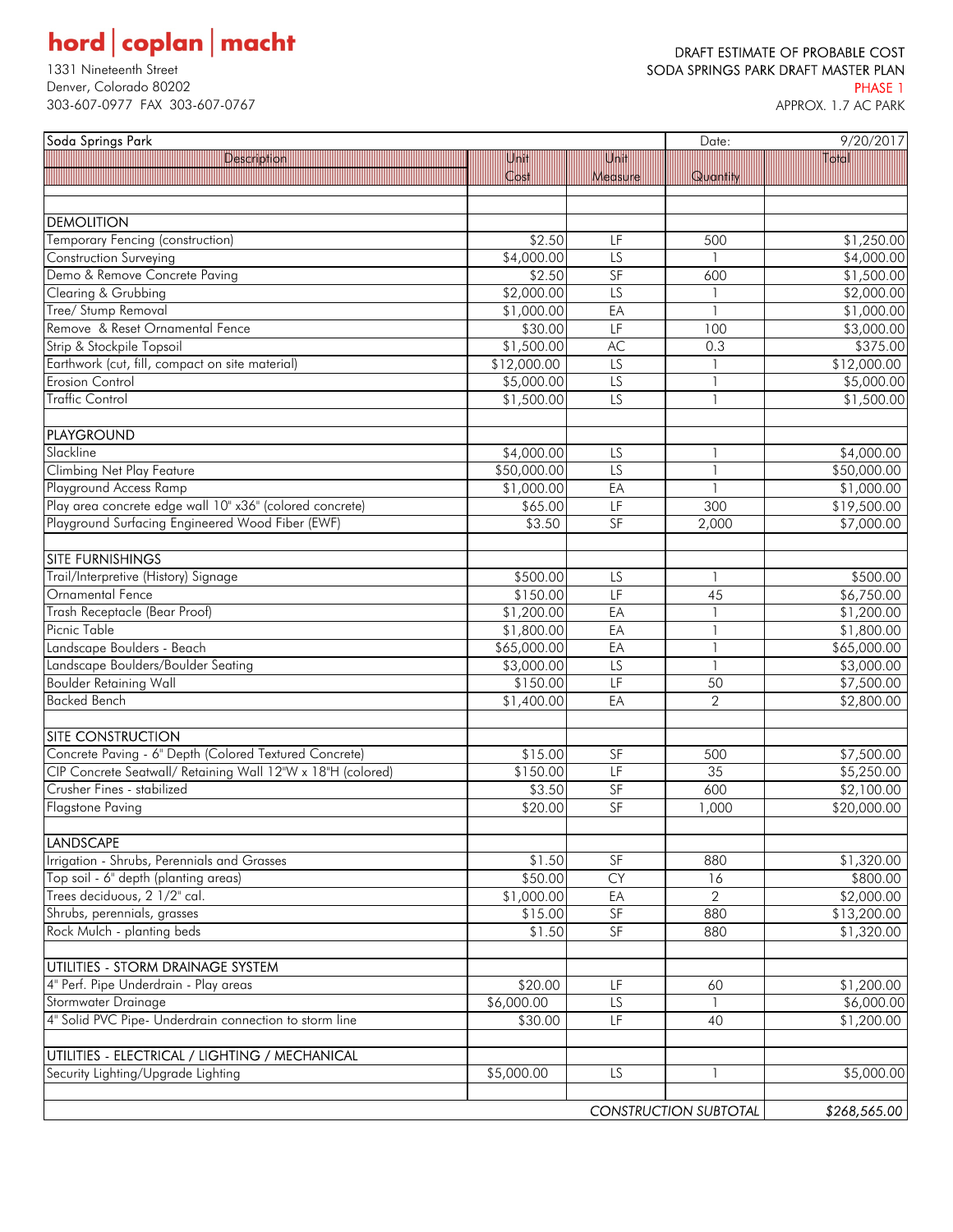# $\textbf{hord}\, \big|\, \textbf{coplan}\, \big|\, \textbf{macht}$

Denver, Colorado 80202 PHASE 1 303-607-0977 FAX 303-607-0767

### DRAFT ESTIMATE OF PROBABLE COST 1331 Nineteenth Street Street Street Superintent Street SODA SPRINGS PARK DRAFT MASTER PLAN

| Soda Springs Park                                           |                              | Date:           | 9/20/2017      |             |
|-------------------------------------------------------------|------------------------------|-----------------|----------------|-------------|
| Description                                                 | Unit                         | Unit            |                | Total       |
|                                                             | Cost                         | Measure         | Quantity       |             |
|                                                             |                              |                 |                |             |
| <b>DEMOLITION</b>                                           |                              |                 |                |             |
| Temporary Fencing (construction)                            | \$2.50                       | LF              | 500            | \$1,250.00  |
| Construction Surveying                                      | \$4,000.00                   | LS              |                | \$4,000.00  |
| Demo & Remove Concrete Paving                               | \$2.50                       | SF              | 600            | \$1,500.00  |
| Clearing & Grubbing                                         | \$2,000.00                   | $\overline{LS}$ |                | \$2,000.00  |
| Tree/ Stump Removal                                         | \$1,000.00                   | EA              |                | \$1,000.00  |
| Remove & Reset Ornamental Fence                             | \$30.00                      | LF              | 100            | \$3,000.00  |
| Strip & Stockpile Topsoil                                   | \$1,500.00                   | AC              | 0.3            | \$375.00    |
| Earthwork (cut, fill, compact on site material)             | \$12,000.00                  | $\overline{LS}$ |                | \$12,000.00 |
| Erosion Control                                             | \$5,000.00                   | $\overline{LS}$ |                | \$5,000.00  |
| <b>Traffic Control</b>                                      | \$1,500.00                   | LS              |                | \$1,500.00  |
|                                                             |                              |                 |                |             |
| <b>PLAYGROUND</b>                                           |                              |                 |                |             |
| Slackline                                                   | \$4,000.00                   | LS              |                | \$4,000.00  |
| <b>Climbing Net Play Feature</b>                            | \$50,000.00                  | LS              |                | \$50,000.00 |
| Playground Access Ramp                                      | \$1,000.00                   | EA              |                | \$1,000.00  |
| Play area concrete edge wall 10" x36" (colored concrete)    | \$65.00                      | LF              | 300            | \$19,500.00 |
| Playground Surfacing Engineered Wood Fiber (EWF)            | \$3.50                       | SF              | 2,000          | \$7,000.00  |
|                                                             |                              |                 |                |             |
| <b>SITE FURNISHINGS</b>                                     |                              |                 |                |             |
| Trail/Interpretive (History) Signage                        | \$500.00                     | LS              |                | \$500.00    |
| Ornamental Fence                                            | \$150.00                     | LF              | 45             | \$6,750.00  |
| Trash Receptacle (Bear Proof)                               | \$1,200.00                   | EA              |                | \$1,200.00  |
| Picnic Table                                                | \$1,800.00                   | EA              |                | \$1,800.00  |
| Landscape Boulders - Beach                                  | \$65,000.00                  | EA              |                | \$65,000.00 |
| Landscape Boulders/Boulder Seating                          | \$3,000.00                   | $\overline{LS}$ |                | \$3,000.00  |
| <b>Boulder Retaining Wall</b>                               | \$150.00                     | LF              | 50             | \$7,500.00  |
| <b>Backed Bench</b>                                         | \$1,400.00                   | EA              | $\overline{2}$ | \$2,800.00  |
|                                                             |                              |                 |                |             |
| <b>SITE CONSTRUCTION</b>                                    |                              |                 |                |             |
| Concrete Paving - 6" Depth (Colored Textured Concrete)      | \$15.00                      | SF              | 500            | \$7,500.00  |
| CIP Concrete Seatwall/ Retaining Wall 12"W x 18"H (colored) | \$150.00                     | LF              | 35             | \$5,250.00  |
| Crusher Fines - stabilized                                  | \$3.50                       | SF              | 600            | \$2,100.00  |
| <b>Flagstone Paving</b>                                     | \$20.00                      | SF              | 1,000          | \$20,000.00 |
|                                                             |                              |                 |                |             |
| <b>LANDSCAPE</b>                                            |                              |                 |                |             |
| Irrigation - Shrubs, Perennials and Grasses                 | \$1.50                       | SF              | 880            | \$1,320.00  |
| Top soil - 6" depth (planting areas)                        | \$50.00                      | <b>CY</b>       | 16             | \$800.00    |
| Trees deciduous, 2 1/2" cal.                                | \$1,000.00                   | EA              | $\overline{2}$ | \$2,000.00  |
| Shrubs, perennials, grasses                                 | \$15.00                      | SF              | 880            | \$13,200.00 |
| Rock Mulch - planting beds                                  | \$1.50                       | SF              | 880            | \$1,320.00  |
|                                                             |                              |                 |                |             |
| UTILITIES - STORM DRAINAGE SYSTEM                           |                              |                 |                |             |
| 4" Perf. Pipe Underdrain - Play areas                       | \$20.00                      | LF              | 60             | \$1,200.00  |
| Stormwater Drainage                                         | \$6,000.00                   | LS              |                | \$6,000.00  |
| 4" Solid PVC Pipe- Underdrain connection to storm line      | \$30.00                      | LF              | 40             | \$1,200.00  |
|                                                             |                              |                 |                |             |
| UTILITIES - ELECTRICAL / LIGHTING / MECHANICAL              |                              |                 |                |             |
| Security Lighting/Upgrade Lighting                          | \$5,000.00                   | LS              |                | \$5,000.00  |
|                                                             |                              |                 |                |             |
|                                                             | <b>CONSTRUCTION SUBTOTAL</b> |                 | \$268,565.00   |             |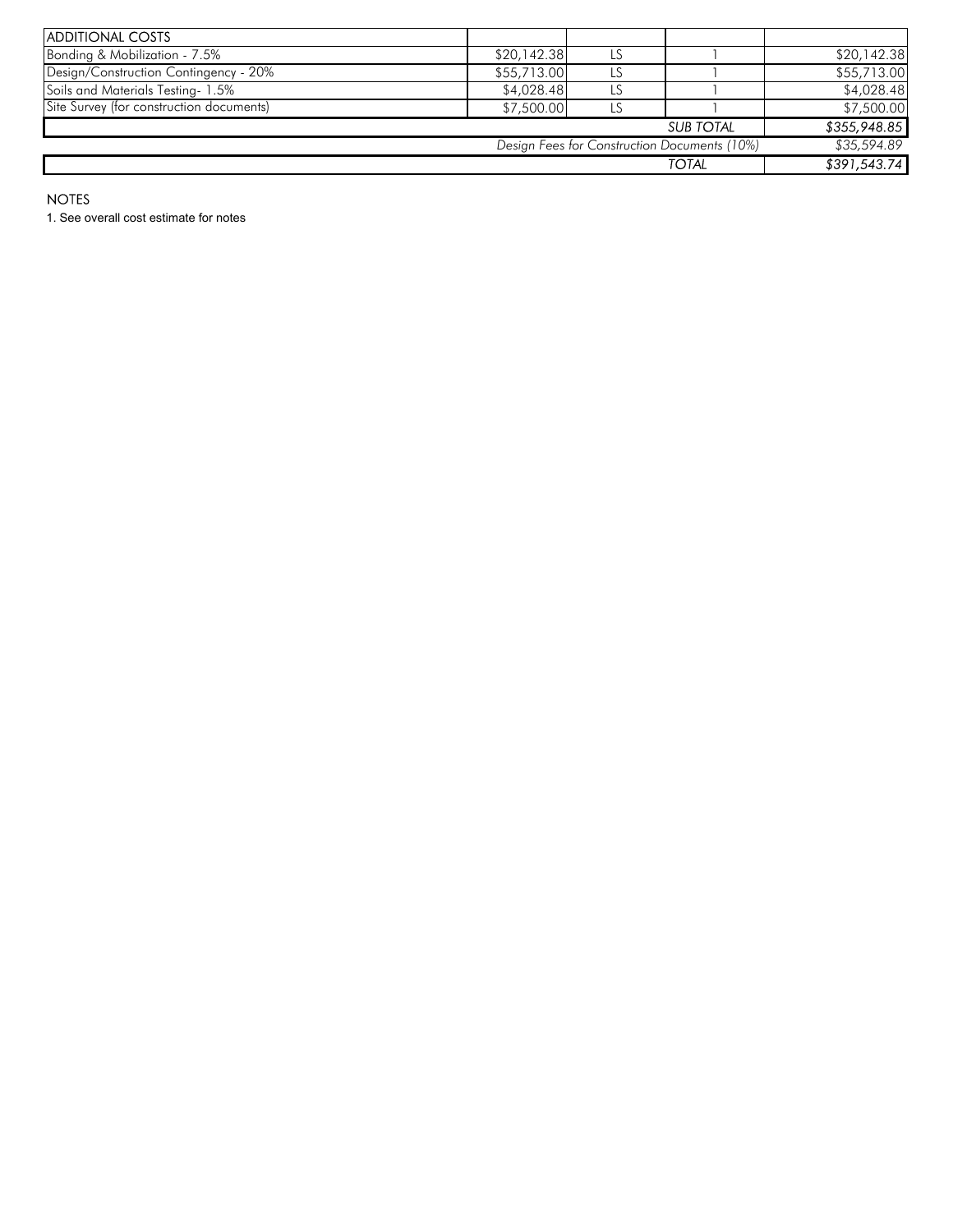| <b>ADDITIONAL COSTS</b>                      |             |    |                  |              |
|----------------------------------------------|-------------|----|------------------|--------------|
| Bonding & Mobilization - 7.5%                | \$20,142.38 |    |                  | \$20,142.38  |
| Design/Construction Contingency - 20%        | \$55,713.00 |    |                  | \$55,713.00  |
| Soils and Materials Testing-1.5%             | \$4,028.48  |    |                  | \$4,028.48   |
| Site Survey (for construction documents)     | \$7,500.00  | LS |                  | \$7,500.00   |
|                                              |             |    | <b>SUB TOTAL</b> | \$355,948.85 |
| Design Fees for Construction Documents (10%) |             |    |                  |              |
| <b>TOTAL</b>                                 |             |    |                  | \$391,543.74 |

1. See overall cost estimate for notes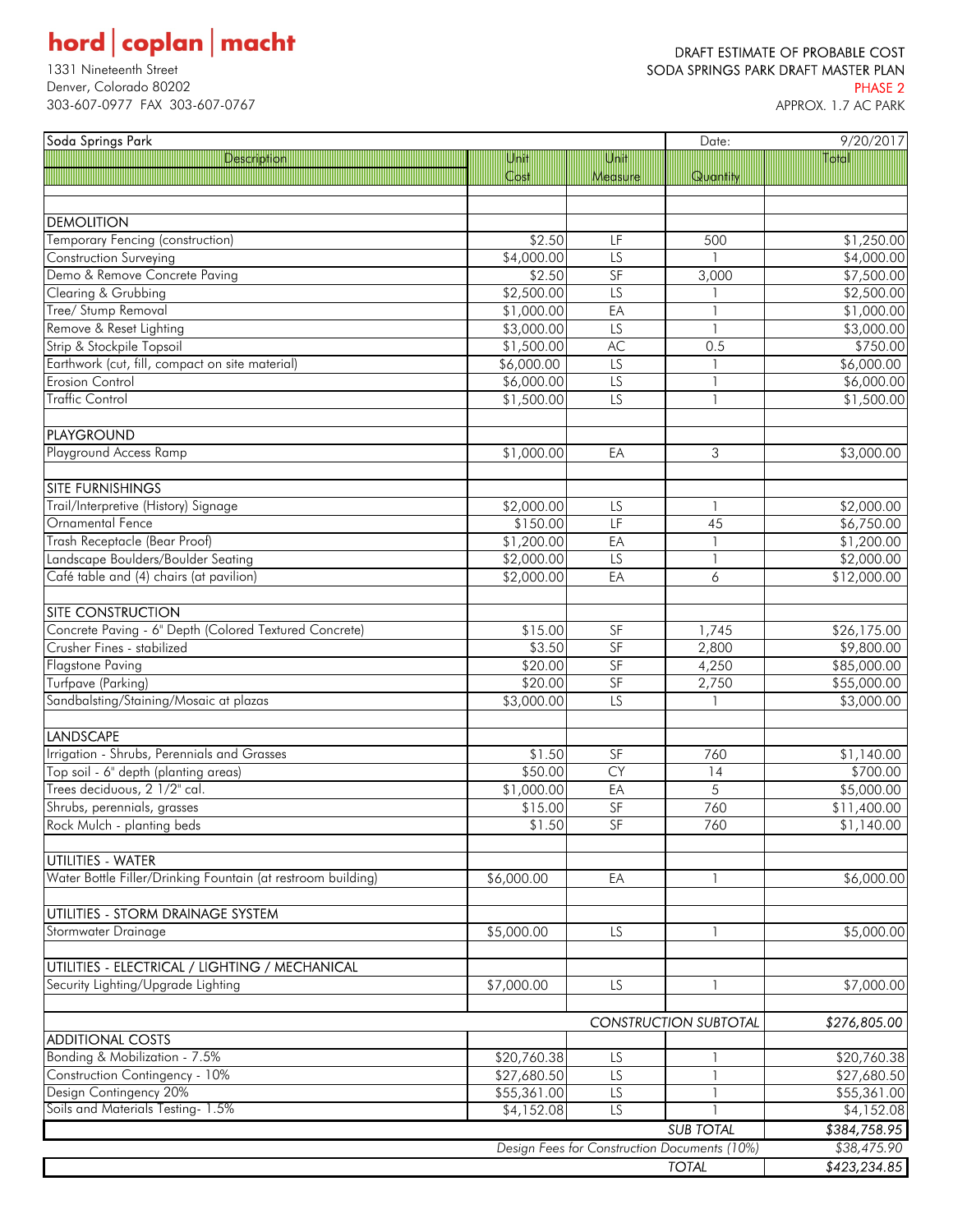# $\textbf{hord}\, \big|\, \textbf{coplan}\, \big|\, \textbf{macht}$

Denver, Colorado 80202 PHASE 2 303-607-0977 FAX 303-607-0767

### DRAFT ESTIMATE OF PROBABLE COST 1331 Nineteenth Street Street Superintent Street SODA SPRINGS PARK DRAFT MASTER PLAN

| Soda Springs Park                                            |             |                 | Date:                                        | 9/20/2017                 |
|--------------------------------------------------------------|-------------|-----------------|----------------------------------------------|---------------------------|
| Description                                                  | Unit        | Unit            |                                              | Total                     |
|                                                              | Cost        | Measure         | Quantity                                     |                           |
|                                                              |             |                 |                                              |                           |
| <b>DEMOLITION</b>                                            |             |                 |                                              |                           |
| Temporary Fencing (construction)                             | \$2.50      | LF              | 500                                          | \$1,250.00                |
| Construction Surveying                                       | \$4,000.00  | LS              |                                              | \$4,000.00                |
| Demo & Remove Concrete Paving                                | \$2.50      | SF              | 3,000                                        | \$7,500.00                |
| Clearing & Grubbing                                          | \$2,500.00  | LS              |                                              | \$2,500.00                |
| Tree/ Stump Removal                                          | \$1,000.00  | EA              | $\mathbf{1}$                                 | \$1,000.00                |
| Remove & Reset Lighting                                      | \$3,000.00  | LS              | $\overline{1}$                               | \$3,000.00                |
| Strip & Stockpile Topsoil                                    | \$1,500.00  | AC              | 0.5                                          | \$750.00                  |
| Earthwork (cut, fill, compact on site material)              | \$6,000.00  | $\overline{LS}$ |                                              | \$6,000.00                |
| <b>Erosion Control</b>                                       | \$6,000.00  | $\overline{LS}$ | $\overline{\mathbf{1}}$                      | \$6,000.00                |
| <b>Traffic Control</b>                                       | \$1,500.00  | $\overline{LS}$ | $\mathbf{1}$                                 | \$1,500.00                |
|                                                              |             |                 |                                              |                           |
| <b>PLAYGROUND</b>                                            |             |                 |                                              |                           |
| Playground Access Ramp                                       |             |                 |                                              |                           |
|                                                              | \$1,000.00  | EA              | 3                                            | \$3,000.00                |
| <b>SITE FURNISHINGS</b>                                      |             |                 |                                              |                           |
| Trail/Interpretive (History) Signage                         | \$2,000.00  | LS              | $\mathbf{1}$                                 | \$2,000.00                |
| Ornamental Fence                                             | \$150.00    | LF              | 45                                           | \$6,750.00                |
| Trash Receptacle (Bear Proof)                                | \$1,200.00  | EA              | $\overline{\phantom{a}}$                     | \$1,200.00                |
| Landscape Boulders/Boulder Seating                           | \$2,000.00  | $\overline{LS}$ | $\overline{\phantom{a}}$                     | \$2,000.00                |
| Café table and (4) chairs (at pavilion)                      | \$2,000.00  | EA              | 6                                            | \$12,000.00               |
|                                                              |             |                 |                                              |                           |
| <b>SITE CONSTRUCTION</b>                                     |             |                 |                                              |                           |
| Concrete Paving - 6" Depth (Colored Textured Concrete)       | \$15.00     | SF              | 1,745                                        | \$26,175.00               |
| Crusher Fines - stabilized                                   | \$3.50      | SF              | 2,800                                        |                           |
| Flagstone Paving                                             | \$20.00     | SF              | 4,250                                        | \$9,800.00<br>\$85,000.00 |
| Turfpave (Parking)                                           |             | SF              |                                              |                           |
|                                                              | \$20.00     | $\overline{LS}$ | 2,750                                        | \$55,000.00               |
| Sandbalsting/Staining/Mosaic at plazas                       | \$3,000.00  |                 |                                              | \$3,000.00                |
| <b>LANDSCAPE</b>                                             |             |                 |                                              |                           |
| Irrigation - Shrubs, Perennials and Grasses                  | \$1.50      | SF              | 760                                          | \$1,140.00                |
| Top soil - 6" depth (planting areas)                         | \$50.00     | CY              |                                              | \$700.00                  |
| Trees deciduous, 2 1/2" cal.                                 | \$1,000.00  | EA              | 14<br>5                                      | \$5,000.00                |
| Shrubs, perennials, grasses                                  | \$15.00     | SF              | 760                                          | \$11,400.00               |
| Rock Mulch - planting beds                                   | \$1.50      | SF              | 760                                          | \$1,140.00                |
|                                                              |             |                 |                                              |                           |
| UTILITIES - WATER                                            |             |                 |                                              |                           |
| Water Bottle Filler/Drinking Fountain (at restroom building) | \$6,000.00  | EA              | 1                                            | \$6,000.00                |
|                                                              |             |                 |                                              |                           |
| UTILITIES - STORM DRAINAGE SYSTEM                            |             |                 |                                              |                           |
| Stormwater Drainage                                          | \$5,000.00  | LS              | 1                                            | \$5,000.00                |
|                                                              |             |                 |                                              |                           |
| UTILITIES - ELECTRICAL / LIGHTING / MECHANICAL               |             |                 |                                              |                           |
| Security Lighting/Upgrade Lighting                           |             |                 |                                              |                           |
|                                                              | \$7,000.00  | LS              | 1                                            | \$7,000.00                |
|                                                              |             |                 |                                              |                           |
|                                                              |             |                 | <b>CONSTRUCTION SUBTOTAL</b>                 | \$276,805.00              |
| <b>ADDITIONAL COSTS</b><br>Bonding & Mobilization - 7.5%     |             |                 |                                              |                           |
|                                                              | \$20,760.38 | LS              | 1                                            | \$20,760.38               |
| Construction Contingency - 10%                               | \$27,680.50 | LS              | 1                                            | \$27,680.50               |
| Design Contingency 20%<br>Soils and Materials Testing- 1.5%  | \$55,361.00 | LS              | $\mathbf{1}$                                 | \$55,361.00               |
|                                                              | \$4,152.08  | LS              |                                              | \$4,152.08                |
|                                                              |             |                 | <b>SUB TOTAL</b>                             | \$384,758.95              |
|                                                              |             |                 | Design Fees for Construction Documents (10%) | \$38,475.90               |
| <b>TOTAL</b>                                                 |             |                 |                                              | \$423,234.85              |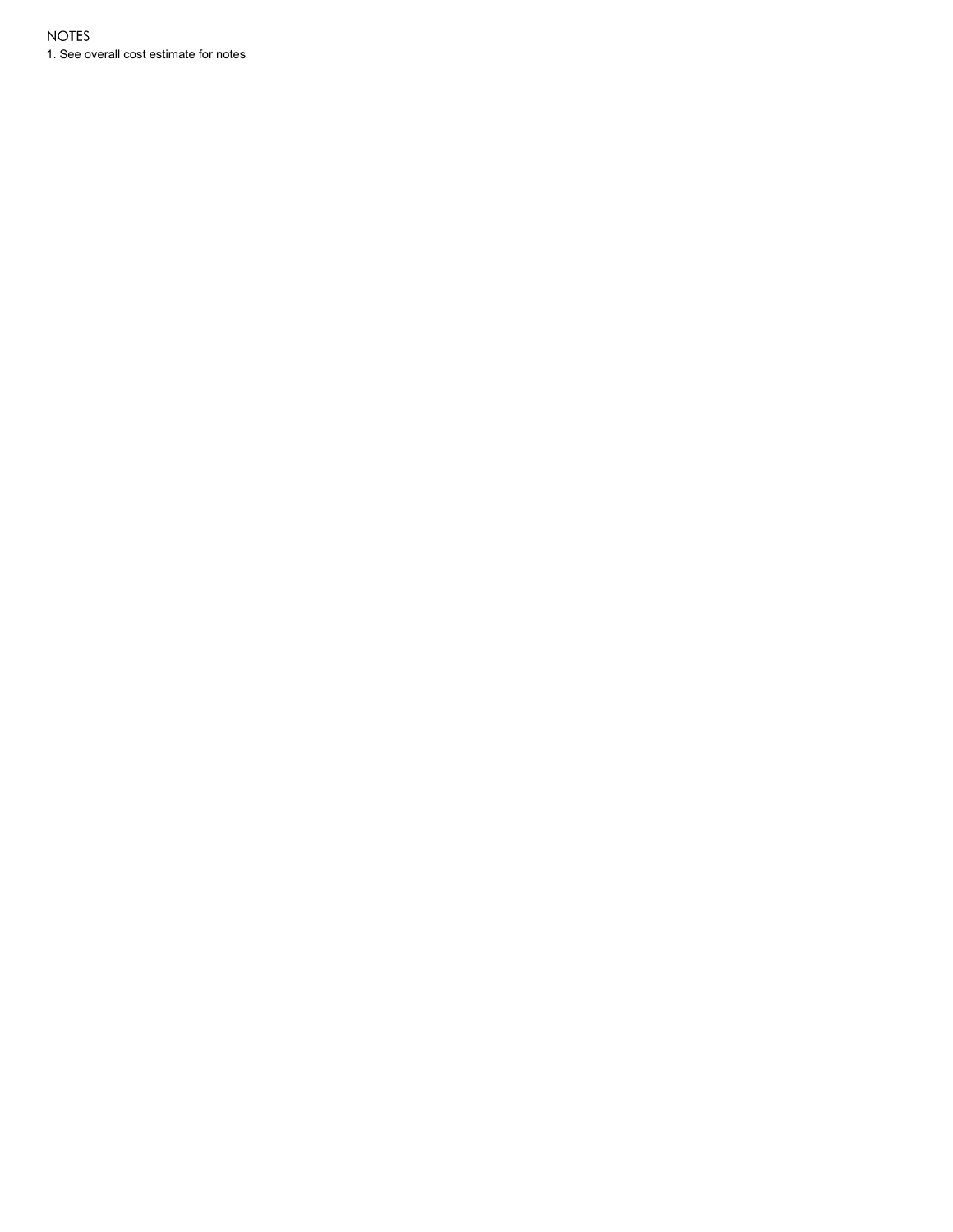1. See overall cost estimate for notes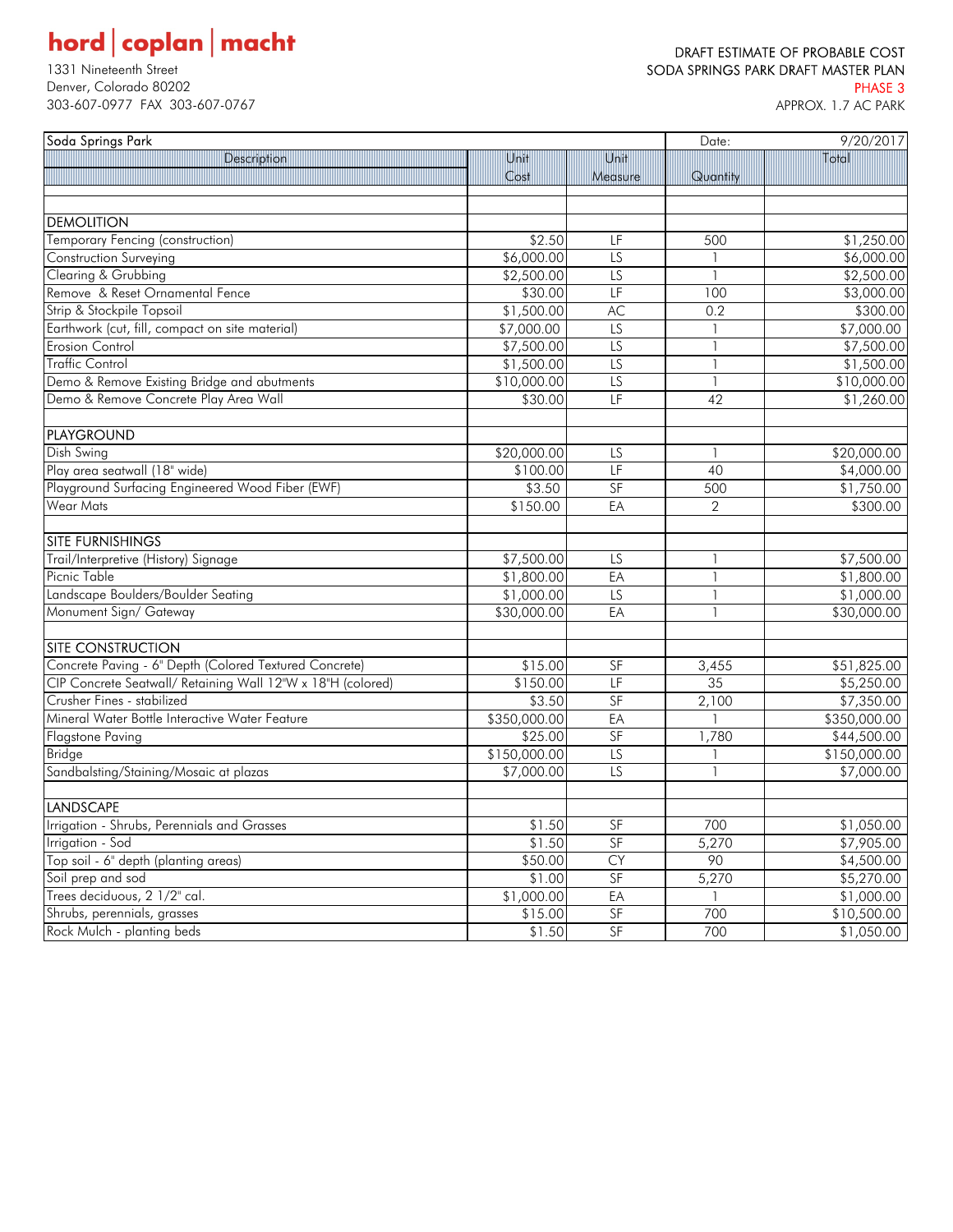## $\textbf{hord} \, \vert \, \textbf{coplan} \, \vert \, \textbf{macht}$

PHASE 3<br>1993-607-0977 FAX 303-607-0767 September 2008 2012 12:00 September 2013<br>1998-607-0977 FAX 303-607-0767 September 2014 12:00 September 2014 12:00 September 2014 12:00 APPROX, 1.7 AC 303-607-0977 FAX 303-607-0767

### DRAFT ESTIMATE OF PROBABLE COST 1331 Nineteenth Street Street Street Superintent Street SODA SPRINGS PARK DRAFT MASTER PLAN

| Soda Springs Park                                           |              |                 | Date:                    | 9/20/2017    |  |
|-------------------------------------------------------------|--------------|-----------------|--------------------------|--------------|--|
| Description                                                 | Unit         | Unit            |                          | Total        |  |
|                                                             | Cost         | Measure         | Quantity                 |              |  |
|                                                             |              |                 |                          |              |  |
| <b>DEMOLITION</b>                                           |              |                 |                          |              |  |
| <b>Temporary Fencing (construction)</b>                     | \$2.50       | LF              | 500                      | \$1,250.00   |  |
| Construction Surveying                                      | \$6,000.00   | LS              | 1                        | \$6,000.00   |  |
| Clearing & Grubbing                                         | \$2,500.00   | $\overline{LS}$ | $\overline{1}$           | \$2,500.00   |  |
| Remove & Reset Ornamental Fence                             | \$30.00      | LF              | 100                      | \$3,000.00   |  |
| Strip & Stockpile Topsoil                                   | \$1,500.00   | AC              | 0.2                      | \$300.00     |  |
| Earthwork (cut, fill, compact on site material)             | \$7,000.00   | LS              |                          | \$7,000.00   |  |
| <b>Erosion Control</b>                                      | \$7,500.00   | LS              | $\mathbf{1}$             | \$7,500.00   |  |
| Traffic Control                                             | \$1,500.00   | $\overline{LS}$ | $\mathbf{1}$             | \$1,500.00   |  |
| Demo & Remove Existing Bridge and abutments                 | \$10,000.00  | $\overline{LS}$ | $\mathbf{1}$             | \$10,000.00  |  |
| Demo & Remove Concrete Play Area Wall                       | \$30.00      | LF              | 42                       | \$1,260.00   |  |
|                                                             |              |                 |                          |              |  |
| <b>PLAYGROUND</b>                                           |              |                 |                          |              |  |
| Dish Swing                                                  | \$20,000.00  | LS              |                          | \$20,000.00  |  |
| Play area seatwall (18" wide)                               | \$100.00     | LF              | 40                       | \$4,000.00   |  |
| Playground Surfacing Engineered Wood Fiber (EWF)            | \$3.50       | SF              | 500                      | \$1,750.00   |  |
| <b>Wear Mats</b>                                            | \$150.00     | EA              | $\overline{2}$           | \$300.00     |  |
|                                                             |              |                 |                          |              |  |
| <b>SITE FURNISHINGS</b>                                     |              |                 |                          |              |  |
| Trail/Interpretive (History) Signage                        | \$7,500.00   | LS              | 1                        | \$7,500.00   |  |
| Picnic Table                                                | \$1,800.00   | EA              | $\overline{\phantom{a}}$ | \$1,800.00   |  |
| Landscape Boulders/Boulder Seating                          | \$1,000.00   | LS              |                          | \$1,000.00   |  |
| Monument Sign/ Gateway                                      | \$30,000.00  | EA              | $\mathbf{1}$             | \$30,000.00  |  |
|                                                             |              |                 |                          |              |  |
| <b>SITE CONSTRUCTION</b>                                    |              |                 |                          |              |  |
| Concrete Paving - 6" Depth (Colored Textured Concrete)      | \$15.00      | SF              | 3,455                    | \$51,825.00  |  |
| CIP Concrete Seatwall/ Retaining Wall 12"W x 18"H (colored) | \$150.00     | LF              | 35                       | \$5,250.00   |  |
| Crusher Fines - stabilized                                  | \$3.50       | SF              | 2,100                    | \$7,350.00   |  |
| Mineral Water Bottle Interactive Water Feature              | \$350,000.00 | EA              |                          | \$350,000.00 |  |
| <b>Flagstone Paving</b>                                     | \$25.00      | SF              | 1,780                    | \$44,500.00  |  |
| <b>Bridge</b>                                               | \$150,000.00 | $\overline{LS}$ | 1                        | \$150,000.00 |  |
| Sandbalsting/Staining/Mosaic at plazas                      | \$7,000.00   | $\overline{LS}$ | $\mathbf{1}$             | \$7,000.00   |  |
|                                                             |              |                 |                          |              |  |
| <b>LANDSCAPE</b>                                            |              |                 |                          |              |  |
| Irrigation - Shrubs, Perennials and Grasses                 | \$1.50       | SF              | 700                      | \$1,050.00   |  |
| Irrigation - Sod                                            | \$1.50       | SF              | 5,270                    | \$7,905.00   |  |
| Top soil - 6" depth (planting areas)                        | \$50.00      | <b>CY</b>       | 90                       | \$4,500.00   |  |
| Soil prep and sod                                           | \$1.00       | SF              | 5,270                    | \$5,270.00   |  |
| Trees deciduous, 2 1/2" cal.                                | \$1,000.00   | EA              |                          | \$1,000.00   |  |
| Shrubs, perennials, grasses                                 | \$15.00      | SF              | 700                      | \$10,500.00  |  |
| Rock Mulch - planting beds                                  | \$1.50       | SF              | 700                      | \$1,050.00   |  |